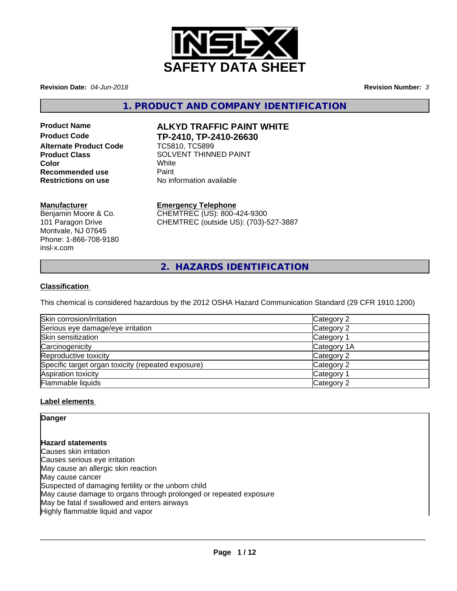

**Revision Date:** *04-Jun-2018* **Revision Number:** *3*

**1. PRODUCT AND COMPANY IDENTIFICATION**

**Alternate Product Code** TC5810, TC5899 **Recommended use** Paint<br> **Restrictions on use** No inf

# **Product Name ALKYD TRAFFIC PAINT WHITE Product Code TP-2410, TP-2410-26630**

**Product Class SOLVENT THINNED PAINT Color** White White **No information available** 

## **Manufacturer**

Benjamin Moore & Co. 101 Paragon Drive Montvale, NJ 07645 Phone: 1-866-708-9180 insl-x.com

## **Emergency Telephone**

CHEMTREC (US): 800-424-9300 CHEMTREC (outside US): (703)-527-3887

**2. HAZARDS IDENTIFICATION**

## **Classification**

This chemical is considered hazardous by the 2012 OSHA Hazard Communication Standard (29 CFR 1910.1200)

| Skin corrosion/irritation                          | Category 2  |  |
|----------------------------------------------------|-------------|--|
| Serious eye damage/eye irritation                  | Category 2  |  |
| Skin sensitization                                 | Category 1  |  |
| Carcinogenicity                                    | Category 1A |  |
| Reproductive toxicity                              | Category 2  |  |
| Specific target organ toxicity (repeated exposure) | Category 2  |  |
| Aspiration toxicity                                | Category 1  |  |
| Flammable liquids                                  | Category 2  |  |

## **Label elements**

**Danger**

**Hazard statements** Causes skin irritation Causes serious eye irritation May cause an allergic skin reaction May cause cancer Suspected of damaging fertility or the unborn child May cause damage to organs through prolonged or repeated exposure May be fatal if swallowed and enters airways Highly flammable liquid and vapor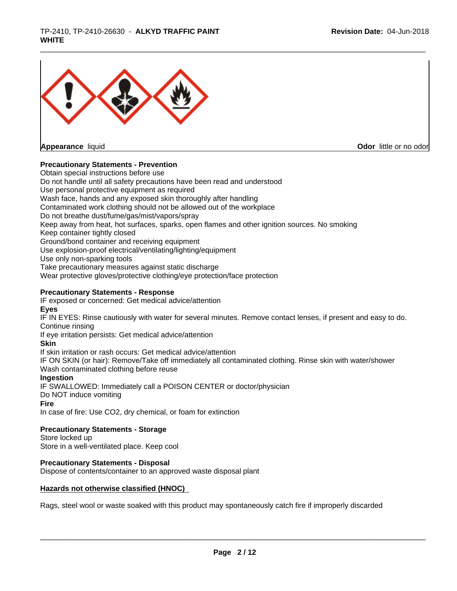

**Appearance** liquid **Contract Contract Contract Contract Contract Contract Contract Contract Contract Contract Contract Contract Contract Contract Contract Contract Contract Contract Contract Contract Contract Contract Con** 

#### **Precautionary Statements - Prevention**

Obtain special instructions before use Do not handle until all safety precautions have been read and understood Use personal protective equipment as required Wash face, hands and any exposed skin thoroughly after handling Contaminated work clothing should not be allowed out of the workplace Do not breathe dust/fume/gas/mist/vapors/spray Keep away from heat, hot surfaces, sparks, open flames and other ignition sources. No smoking Keep container tightly closed Ground/bond container and receiving equipment Use explosion-proof electrical/ventilating/lighting/equipment Use only non-sparking tools Take precautionary measures against static discharge Wear protective gloves/protective clothing/eye protection/face protection **Precautionary Statements - Response** IF exposed or concerned: Get medical advice/attention **Eyes** IF IN EYES: Rinse cautiously with water for several minutes. Remove contact lenses, if present and easy to do. Continue rinsing If eye irritation persists: Get medical advice/attention **Skin** If skin irritation or rash occurs: Get medical advice/attention IF ON SKIN (or hair): Remove/Take off immediately all contaminated clothing. Rinse skin with water/shower Wash contaminated clothing before reuse **Ingestion** IF SWALLOWED: Immediately call a POISON CENTER or doctor/physician Do NOT induce vomiting **Fire** In case of fire: Use CO2, dry chemical, or foam for extinction

**Precautionary Statements - Storage**

Store locked up Store in a well-ventilated place. Keep cool

**Precautionary Statements - Disposal**

Dispose of contents/container to an approved waste disposal plant

#### **Hazards not otherwise classified (HNOC)**

Rags, steel wool or waste soaked with this product may spontaneously catch fire if improperly discarded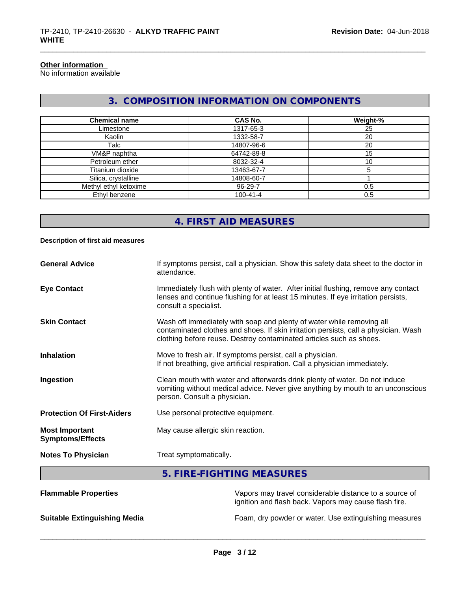### **Other information**

No information available

# **3. COMPOSITION INFORMATION ON COMPONENTS**

| <b>Chemical name</b>  | CAS No.        | Weight-% |
|-----------------------|----------------|----------|
| Limestone             | 1317-65-3      | 25       |
| Kaolin                | 1332-58-7      | 20       |
| Talc                  | 14807-96-6     | 20       |
| VM&P naphtha          | 64742-89-8     | 15       |
| Petroleum ether       | 8032-32-4      | 10       |
| Titanium dioxide      | 13463-67-7     |          |
| Silica, crystalline   | 14808-60-7     |          |
| Methyl ethyl ketoxime | 96-29-7        | 0.5      |
| Ethyl benzene         | $100 - 41 - 4$ | 0.5      |

## **4. FIRST AID MEASURES**

#### **Description of first aid measures**

| <b>General Advice</b>                            | If symptoms persist, call a physician. Show this safety data sheet to the doctor in<br>attendance.                                                                                                                                  |
|--------------------------------------------------|-------------------------------------------------------------------------------------------------------------------------------------------------------------------------------------------------------------------------------------|
| <b>Eye Contact</b>                               | Immediately flush with plenty of water. After initial flushing, remove any contact<br>lenses and continue flushing for at least 15 minutes. If eye irritation persists,<br>consult a specialist.                                    |
| <b>Skin Contact</b>                              | Wash off immediately with soap and plenty of water while removing all<br>contaminated clothes and shoes. If skin irritation persists, call a physician. Wash<br>clothing before reuse. Destroy contaminated articles such as shoes. |
| <b>Inhalation</b>                                | Move to fresh air. If symptoms persist, call a physician.<br>If not breathing, give artificial respiration. Call a physician immediately.                                                                                           |
| Ingestion                                        | Clean mouth with water and afterwards drink plenty of water. Do not induce<br>vomiting without medical advice. Never give anything by mouth to an unconscious<br>person. Consult a physician.                                       |
| <b>Protection Of First-Aiders</b>                | Use personal protective equipment.                                                                                                                                                                                                  |
| <b>Most Important</b><br><b>Symptoms/Effects</b> | May cause allergic skin reaction.                                                                                                                                                                                                   |
| <b>Notes To Physician</b>                        | Treat symptomatically.                                                                                                                                                                                                              |

# **5. FIRE-FIGHTING MEASURES**

| <b>Flammable Properties</b>         | Vapors may travel considerable distance to a source of<br>ignition and flash back. Vapors may cause flash fire. |
|-------------------------------------|-----------------------------------------------------------------------------------------------------------------|
| <b>Suitable Extinguishing Media</b> | Foam, dry powder or water. Use extinguishing measures                                                           |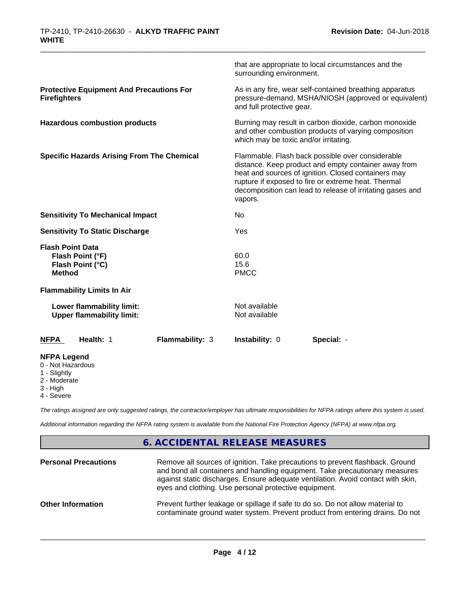|                                                                                     | that are appropriate to local circumstances and the<br>surrounding environment.                                                                                                                                                                                                                |
|-------------------------------------------------------------------------------------|------------------------------------------------------------------------------------------------------------------------------------------------------------------------------------------------------------------------------------------------------------------------------------------------|
| <b>Protective Equipment And Precautions For</b><br><b>Firefighters</b>              | As in any fire, wear self-contained breathing apparatus<br>pressure-demand, MSHA/NIOSH (approved or equivalent)<br>and full protective gear.                                                                                                                                                   |
| <b>Hazardous combustion products</b>                                                | Burning may result in carbon dioxide, carbon monoxide<br>and other combustion products of varying composition<br>which may be toxic and/or irritating.                                                                                                                                         |
| <b>Specific Hazards Arising From The Chemical</b>                                   | Flammable. Flash back possible over considerable<br>distance. Keep product and empty container away from<br>heat and sources of ignition. Closed containers may<br>rupture if exposed to fire or extreme heat. Thermal<br>decomposition can lead to release of irritating gases and<br>vapors. |
| <b>Sensitivity To Mechanical Impact</b>                                             | No                                                                                                                                                                                                                                                                                             |
| <b>Sensitivity To Static Discharge</b>                                              | Yes                                                                                                                                                                                                                                                                                            |
| <b>Flash Point Data</b><br>Flash Point (°F)<br>Flash Point (°C)<br><b>Method</b>    | 60.0<br>15.6<br><b>PMCC</b>                                                                                                                                                                                                                                                                    |
| <b>Flammability Limits In Air</b>                                                   |                                                                                                                                                                                                                                                                                                |
| Lower flammability limit:<br><b>Upper flammability limit:</b>                       | Not available<br>Not available                                                                                                                                                                                                                                                                 |
| Health: 1<br>Flammability: 3<br><b>NFPA</b>                                         | Instability: 0<br>Special: -                                                                                                                                                                                                                                                                   |
| <b>NFPA Legend</b><br>0 - Not Hazardous<br>1 - Slightly<br>2 - Moderate<br>3 - High |                                                                                                                                                                                                                                                                                                |

4 - Severe

*The ratings assigned are only suggested ratings, the contractor/employer has ultimate responsibilities for NFPA ratings where this system is used.*

*Additional information regarding the NFPA rating system is available from the National Fire Protection Agency (NFPA) at www.nfpa.org.*

## **6. ACCIDENTAL RELEASE MEASURES**

| <b>Personal Precautions</b> | Remove all sources of ignition. Take precautions to prevent flashback. Ground<br>and bond all containers and handling equipment. Take precautionary measures<br>against static discharges. Ensure adequate ventilation. Avoid contact with skin,<br>eyes and clothing. Use personal protective equipment. |
|-----------------------------|-----------------------------------------------------------------------------------------------------------------------------------------------------------------------------------------------------------------------------------------------------------------------------------------------------------|
| <b>Other Information</b>    | Prevent further leakage or spillage if safe to do so. Do not allow material to<br>contaminate ground water system. Prevent product from entering drains. Do not                                                                                                                                           |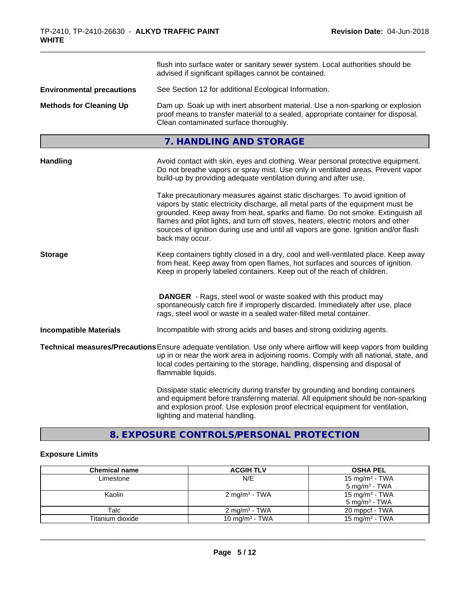|                                  | flush into surface water or sanitary sewer system. Local authorities should be<br>advised if significant spillages cannot be contained.                                                                                                                                                                                                                                                                                                        |  |
|----------------------------------|------------------------------------------------------------------------------------------------------------------------------------------------------------------------------------------------------------------------------------------------------------------------------------------------------------------------------------------------------------------------------------------------------------------------------------------------|--|
| <b>Environmental precautions</b> | See Section 12 for additional Ecological Information.                                                                                                                                                                                                                                                                                                                                                                                          |  |
| <b>Methods for Cleaning Up</b>   | Dam up. Soak up with inert absorbent material. Use a non-sparking or explosion<br>proof means to transfer material to a sealed, appropriate container for disposal.<br>Clean contaminated surface thoroughly.                                                                                                                                                                                                                                  |  |
|                                  | 7. HANDLING AND STORAGE                                                                                                                                                                                                                                                                                                                                                                                                                        |  |
| <b>Handling</b>                  | Avoid contact with skin, eyes and clothing. Wear personal protective equipment.<br>Do not breathe vapors or spray mist. Use only in ventilated areas. Prevent vapor<br>build-up by providing adequate ventilation during and after use.                                                                                                                                                                                                        |  |
|                                  | Take precautionary measures against static discharges. To avoid ignition of<br>vapors by static electricity discharge, all metal parts of the equipment must be<br>grounded. Keep away from heat, sparks and flame. Do not smoke. Extinguish all<br>flames and pilot lights, and turn off stoves, heaters, electric motors and other<br>sources of ignition during use and until all vapors are gone. Ignition and/or flash<br>back may occur. |  |
| <b>Storage</b>                   | Keep containers tightly closed in a dry, cool and well-ventilated place. Keep away<br>from heat. Keep away from open flames, hot surfaces and sources of ignition.<br>Keep in properly labeled containers. Keep out of the reach of children.                                                                                                                                                                                                  |  |
|                                  | <b>DANGER</b> - Rags, steel wool or waste soaked with this product may<br>spontaneously catch fire if improperly discarded. Immediately after use, place<br>rags, steel wool or waste in a sealed water-filled metal container.                                                                                                                                                                                                                |  |
| <b>Incompatible Materials</b>    | Incompatible with strong acids and bases and strong oxidizing agents.                                                                                                                                                                                                                                                                                                                                                                          |  |
|                                  | Technical measures/Precautions Ensure adequate ventilation. Use only where airflow will keep vapors from building<br>up in or near the work area in adjoining rooms. Comply with all national, state, and<br>local codes pertaining to the storage, handling, dispensing and disposal of<br>flammable liquids.                                                                                                                                 |  |
|                                  | Dissipate static electricity during transfer by grounding and bonding containers<br>and equipment before transferring material. All equipment should be non-sparking<br>and explosion proof. Use explosion proof electrical equipment for ventilation,<br>lighting and material handling.                                                                                                                                                      |  |

# **8. EXPOSURE CONTROLS/PERSONAL PROTECTION**

## **Exposure Limits**

| <b>Chemical name</b> | <b>ACGIH TLV</b>          | <b>OSHA PEL</b>            |
|----------------------|---------------------------|----------------------------|
| Limestone            | N/E                       | 15 mg/m $3$ - TWA          |
|                      |                           | $5 \text{ mg/m}^3$ - TWA   |
| Kaolin               | 2 mg/m <sup>3</sup> - TWA | 15 mg/m <sup>3</sup> - TWA |
|                      |                           | $5 \text{ mg/m}^3$ - TWA   |
| Talc                 | 2 mg/m <sup>3</sup> - TWA | 20 mppcf - TWA             |
| Titanium dioxide     | 10 mg/m $3$ - TWA         | 15 mg/m $3$ - TWA          |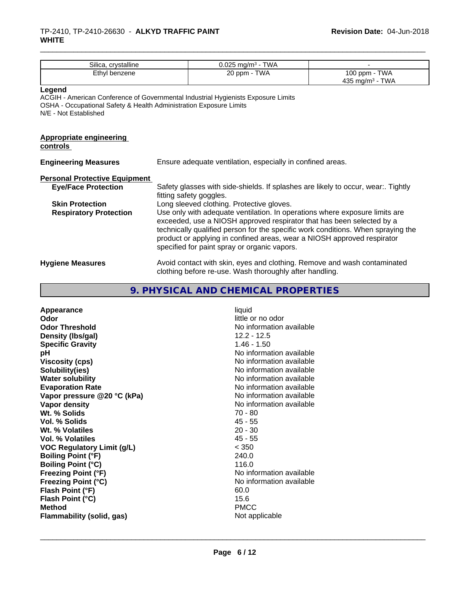| Silica, crystalline                                                                                                                                                                        |                                                                                                                                                                                                                                                                                                                                                                     | $0.025$ mg/m <sup>3</sup> - TWA                                                                            |                                     |
|--------------------------------------------------------------------------------------------------------------------------------------------------------------------------------------------|---------------------------------------------------------------------------------------------------------------------------------------------------------------------------------------------------------------------------------------------------------------------------------------------------------------------------------------------------------------------|------------------------------------------------------------------------------------------------------------|-------------------------------------|
| Ethyl benzene                                                                                                                                                                              |                                                                                                                                                                                                                                                                                                                                                                     | 20 ppm - TWA                                                                                               | 100 ppm - TWA<br>435 mg/m $3$ - TWA |
| Legend<br>ACGIH - American Conference of Governmental Industrial Hygienists Exposure Limits<br>OSHA - Occupational Safety & Health Administration Exposure Limits<br>N/E - Not Established |                                                                                                                                                                                                                                                                                                                                                                     |                                                                                                            |                                     |
| <b>Appropriate engineering</b><br>controls                                                                                                                                                 |                                                                                                                                                                                                                                                                                                                                                                     |                                                                                                            |                                     |
| <b>Engineering Measures</b>                                                                                                                                                                | Ensure adequate ventilation, especially in confined areas.                                                                                                                                                                                                                                                                                                          |                                                                                                            |                                     |
| <b>Personal Protective Equipment</b>                                                                                                                                                       |                                                                                                                                                                                                                                                                                                                                                                     |                                                                                                            |                                     |
| <b>Eye/Face Protection</b>                                                                                                                                                                 |                                                                                                                                                                                                                                                                                                                                                                     | Safety glasses with side-shields. If splashes are likely to occur, wear Tightly<br>fitting safety goggles. |                                     |
| <b>Skin Protection</b>                                                                                                                                                                     |                                                                                                                                                                                                                                                                                                                                                                     | Long sleeved clothing. Protective gloves.                                                                  |                                     |
| <b>Respiratory Protection</b>                                                                                                                                                              | Use only with adequate ventilation. In operations where exposure limits are<br>exceeded, use a NIOSH approved respirator that has been selected by a<br>technically qualified person for the specific work conditions. When spraying the<br>product or applying in confined areas, wear a NIOSH approved respirator<br>specified for paint spray or organic vapors. |                                                                                                            |                                     |
| <b>Hygiene Measures</b>                                                                                                                                                                    | Avoid contact with skin, eyes and clothing. Remove and wash contaminated<br>clothing before re-use. Wash thoroughly after handling.                                                                                                                                                                                                                                 |                                                                                                            |                                     |

# **9. PHYSICAL AND CHEMICAL PROPERTIES**

| Appearance                       | liquid                   |
|----------------------------------|--------------------------|
| Odor                             | little or no odor        |
| <b>Odor Threshold</b>            | No information available |
| Density (Ibs/gal)                | $12.2 - 12.5$            |
| <b>Specific Gravity</b>          | $1.46 - 1.50$            |
| рH                               | No information available |
| <b>Viscosity (cps)</b>           | No information available |
| Solubility(ies)                  | No information available |
| <b>Water solubility</b>          | No information available |
| <b>Evaporation Rate</b>          | No information available |
| Vapor pressure @20 °C (kPa)      | No information available |
| Vapor density                    | No information available |
| Wt. % Solids                     | $70 - 80$                |
| Vol. % Solids                    | $45 - 55$                |
| Wt. % Volatiles                  | $20 - 30$                |
| Vol. % Volatiles                 | $45 - 55$                |
| VOC Regulatory Limit (g/L)       | < 350                    |
| <b>Boiling Point (°F)</b>        | 240.0                    |
| <b>Boiling Point (°C)</b>        | 116.0                    |
| <b>Freezing Point (°F)</b>       | No information available |
| <b>Freezing Point (°C)</b>       | No information available |
| Flash Point (°F)                 | 60.0                     |
| Flash Point (°C)                 | 15.6                     |
| <b>Method</b>                    | <b>PMCC</b>              |
| <b>Flammability (solid, gas)</b> | Not applicable           |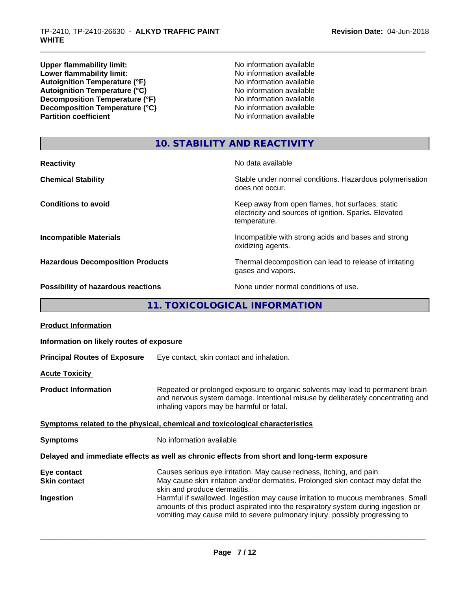**Upper flammability limit:**<br> **Lower flammability limit:** No information available<br>
No information available **Lower flammability limit:**<br> **Autoiqnition Temperature (°F)**<br>
No information available<br>
No information available Autoignition Temperature (°F)<br>
Autoignition Temperature (°C)<br>
No information available<br>
No information available Autoignition Temperature (°C)<br>
Decomposition Temperature (°F)<br>
No information available **Decomposition Temperature (°F)**<br> **Decomposition Temperature (°C)**<br>
No information available<br>
No information available **Decomposition Temperature (°C) Partition coefficient** 

# **10. STABILITY AND REACTIVITY**

| <b>Reactivity</b>                         | No data available                                                                                                         |
|-------------------------------------------|---------------------------------------------------------------------------------------------------------------------------|
| <b>Chemical Stability</b>                 | Stable under normal conditions. Hazardous polymerisation<br>does not occur.                                               |
| <b>Conditions to avoid</b>                | Keep away from open flames, hot surfaces, static<br>electricity and sources of ignition. Sparks. Elevated<br>temperature. |
| <b>Incompatible Materials</b>             | Incompatible with strong acids and bases and strong<br>oxidizing agents.                                                  |
| <b>Hazardous Decomposition Products</b>   | Thermal decomposition can lead to release of irritating<br>gases and vapors.                                              |
| <b>Possibility of hazardous reactions</b> | None under normal conditions of use.                                                                                      |

# **11. TOXICOLOGICAL INFORMATION**

| <b>Product Information</b>                      |                                                                                                                                                                                                                                                                                                                                                                                                                                                  |  |  |
|-------------------------------------------------|--------------------------------------------------------------------------------------------------------------------------------------------------------------------------------------------------------------------------------------------------------------------------------------------------------------------------------------------------------------------------------------------------------------------------------------------------|--|--|
| Information on likely routes of exposure        |                                                                                                                                                                                                                                                                                                                                                                                                                                                  |  |  |
| <b>Principal Routes of Exposure</b>             | Eye contact, skin contact and inhalation.                                                                                                                                                                                                                                                                                                                                                                                                        |  |  |
| <b>Acute Toxicity</b>                           |                                                                                                                                                                                                                                                                                                                                                                                                                                                  |  |  |
| <b>Product Information</b>                      | Repeated or prolonged exposure to organic solvents may lead to permanent brain<br>and nervous system damage. Intentional misuse by deliberately concentrating and<br>inhaling vapors may be harmful or fatal.                                                                                                                                                                                                                                    |  |  |
|                                                 | Symptoms related to the physical, chemical and toxicological characteristics                                                                                                                                                                                                                                                                                                                                                                     |  |  |
| <b>Symptoms</b>                                 | No information available                                                                                                                                                                                                                                                                                                                                                                                                                         |  |  |
|                                                 | Delayed and immediate effects as well as chronic effects from short and long-term exposure                                                                                                                                                                                                                                                                                                                                                       |  |  |
| Eye contact<br><b>Skin contact</b><br>Ingestion | Causes serious eye irritation. May cause redness, itching, and pain.<br>May cause skin irritation and/or dermatitis. Prolonged skin contact may defat the<br>skin and produce dermatitis.<br>Harmful if swallowed. Ingestion may cause irritation to mucous membranes. Small<br>amounts of this product aspirated into the respiratory system during ingestion or<br>vomiting may cause mild to severe pulmonary injury, possibly progressing to |  |  |
|                                                 |                                                                                                                                                                                                                                                                                                                                                                                                                                                  |  |  |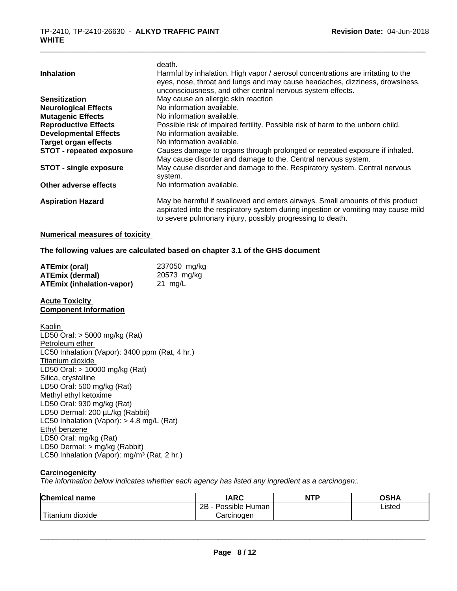| <b>Inhalation</b>               | death.<br>Harmful by inhalation. High vapor / aerosol concentrations are irritating to the<br>eyes, nose, throat and lungs and may cause headaches, dizziness, drowsiness,<br>unconsciousness, and other central nervous system effects. |
|---------------------------------|------------------------------------------------------------------------------------------------------------------------------------------------------------------------------------------------------------------------------------------|
| <b>Sensitization</b>            | May cause an allergic skin reaction                                                                                                                                                                                                      |
| <b>Neurological Effects</b>     | No information available.                                                                                                                                                                                                                |
| <b>Mutagenic Effects</b>        | No information available.                                                                                                                                                                                                                |
| <b>Reproductive Effects</b>     | Possible risk of impaired fertility. Possible risk of harm to the unborn child.                                                                                                                                                          |
| <b>Developmental Effects</b>    | No information available.                                                                                                                                                                                                                |
| <b>Target organ effects</b>     | No information available.                                                                                                                                                                                                                |
| <b>STOT - repeated exposure</b> | Causes damage to organs through prolonged or repeated exposure if inhaled.<br>May cause disorder and damage to the. Central nervous system.                                                                                              |
| <b>STOT - single exposure</b>   | May cause disorder and damage to the. Respiratory system. Central nervous<br>system.                                                                                                                                                     |
| Other adverse effects           | No information available.                                                                                                                                                                                                                |
| <b>Aspiration Hazard</b>        | May be harmful if swallowed and enters airways. Small amounts of this product<br>aspirated into the respiratory system during ingestion or vomiting may cause mild<br>to severe pulmonary injury, possibly progressing to death.         |

#### **Numerical measures of toxicity**

#### **The following values are calculated based on chapter 3.1 of the GHS document**

| <b>ATEmix (oral)</b>             | 237050 mg/kg |
|----------------------------------|--------------|
| <b>ATEmix (dermal)</b>           | 20573 mg/kg  |
| <b>ATEmix (inhalation-vapor)</b> | 21 mg/L      |

#### **Acute Toxicity Component Information**

Kaolin LD50 Oral: > 5000 mg/kg (Rat) Petroleum ether LC50 Inhalation (Vapor): 3400 ppm (Rat, 4 hr.) Titanium dioxide LD50 Oral: > 10000 mg/kg (Rat) Silica, crystalline LD50 Oral: 500 mg/kg (Rat) Methyl ethyl ketoxime LD50 Oral: 930 mg/kg (Rat) LD50 Dermal: 200 µL/kg (Rabbit) LC50 Inhalation (Vapor): > 4.8 mg/L (Rat) Ethyl benzene LD50 Oral: mg/kg (Rat) LD50 Dermal: > mg/kg (Rabbit) LC50 Inhalation (Vapor): mg/m<sup>3</sup> (Rat, 2 hr.)

#### **Carcinogenicity**

*The information below indicateswhether each agency has listed any ingredient as a carcinogen:.*

| <b>Chemical name</b>    | <b>IARC</b>          | <b>NTP</b> | <b>OSHA</b> |
|-------------------------|----------------------|------------|-------------|
|                         | Possible Human<br>2B |            | Listed      |
| ' Titanium<br>m dioxide | Carcinoɑen           |            |             |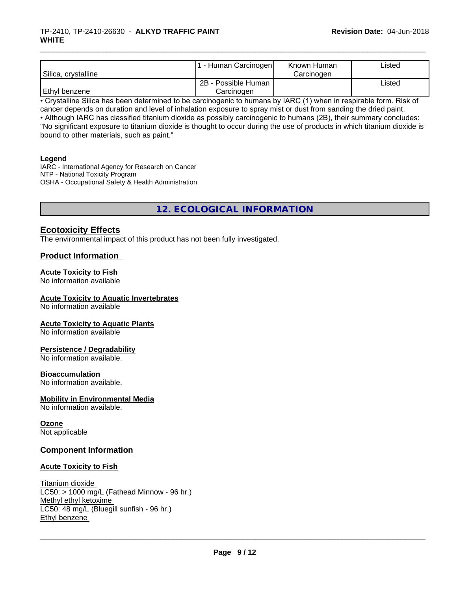#### \_\_\_\_\_\_\_\_\_\_\_\_\_\_\_\_\_\_\_\_\_\_\_\_\_\_\_\_\_\_\_\_\_\_\_\_\_\_\_\_\_\_\_\_\_\_\_\_\_\_\_\_\_\_\_\_\_\_\_\_\_\_\_\_\_\_\_\_\_\_\_\_\_\_\_\_\_\_\_\_\_\_\_\_\_\_\_\_\_\_\_\_\_ TP-2410, TP-2410-26630 - **ALKYD TRAFFIC PAINT WHITE**

| Silica, crystalline | - Human Carcinogen  | Known Human<br>Carcinogen | Listed |
|---------------------|---------------------|---------------------------|--------|
|                     | 2B - Possible Human |                           | Listed |
| Ethyl benzene       | Carcinogen          |                           |        |

• Crystalline Silica has been determined to be carcinogenic to humans by IARC (1) when in respirable form. Risk of cancer depends on duration and level of inhalation exposure to spray mist or dust from sanding the dried paint.

• Although IARC has classified titanium dioxide as possibly carcinogenic to humans (2B), their summary concludes: "No significant exposure to titanium dioxide is thought to occur during the use of products in which titanium dioxide is bound to other materials, such as paint."

#### **Legend**

IARC - International Agency for Research on Cancer NTP - National Toxicity Program OSHA - Occupational Safety & Health Administration

**12. ECOLOGICAL INFORMATION**

## **Ecotoxicity Effects**

The environmental impact of this product has not been fully investigated.

## **Product Information**

## **Acute Toxicity to Fish**

No information available

### **Acute Toxicity to Aquatic Invertebrates**

No information available

#### **Acute Toxicity to Aquatic Plants**

No information available

#### **Persistence / Degradability**

No information available.

#### **Bioaccumulation**

No information available.

## **Mobility in Environmental Media**

No information available.

## **Ozone**

Not applicable

## **Component Information**

## **Acute Toxicity to Fish**

#### Titanium dioxide  $LC50:$  > 1000 mg/L (Fathead Minnow - 96 hr.) Methyl ethyl ketoxime LC50: 48 mg/L (Bluegill sunfish - 96 hr.) Ethyl benzene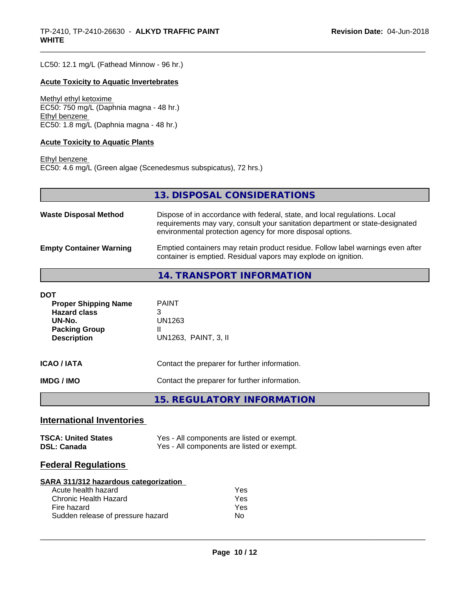LC50: 12.1 mg/L (Fathead Minnow - 96 hr.)

#### **Acute Toxicity to Aquatic Invertebrates**

Methyl ethyl ketoxime EC50: 750 mg/L (Daphnia magna - 48 hr.) Ethyl benzene EC50: 1.8 mg/L (Daphnia magna - 48 hr.)

#### **Acute Toxicity to Aquatic Plants**

Ethyl benzene EC50: 4.6 mg/L (Green algae (Scenedesmus subspicatus), 72 hrs.)

**13. DISPOSAL CONSIDERATIONS**

| <b>Waste Disposal Method</b>   | Dispose of in accordance with federal, state, and local regulations. Local<br>requirements may vary, consult your sanitation department or state-designated<br>environmental protection agency for more disposal options. |
|--------------------------------|---------------------------------------------------------------------------------------------------------------------------------------------------------------------------------------------------------------------------|
| <b>Empty Container Warning</b> | Emptied containers may retain product residue. Follow label warnings even after<br>container is emptied. Residual vapors may explode on ignition.                                                                         |

## **14. TRANSPORT INFORMATION**

| DOT<br><b>Proper Shipping Name</b><br><b>Hazard class</b><br>UN-No.<br><b>Packing Group</b><br><b>Description</b> | <b>PAINT</b><br>3<br>UN1263<br>UN1263, PAINT, 3, II |
|-------------------------------------------------------------------------------------------------------------------|-----------------------------------------------------|
| <b>ICAO / IATA</b>                                                                                                | Contact the preparer for further information.       |
| IMDG / IMO                                                                                                        | Contact the preparer for further information.       |
|                                                                                                                   | 15. REGULATORY INFORMATION                          |

## **International Inventories**

| <b>TSCA: United States</b> | Yes - All components are listed or exempt. |
|----------------------------|--------------------------------------------|
| <b>DSL: Canada</b>         | Yes - All components are listed or exempt. |

## **Federal Regulations**

| SARA 311/312 hazardous categorization |     |  |
|---------------------------------------|-----|--|
| Acute health hazard                   | Yes |  |
| Chronic Health Hazard                 | Yes |  |
| Fire hazard                           | Yes |  |
| Sudden release of pressure hazard     | Nο  |  |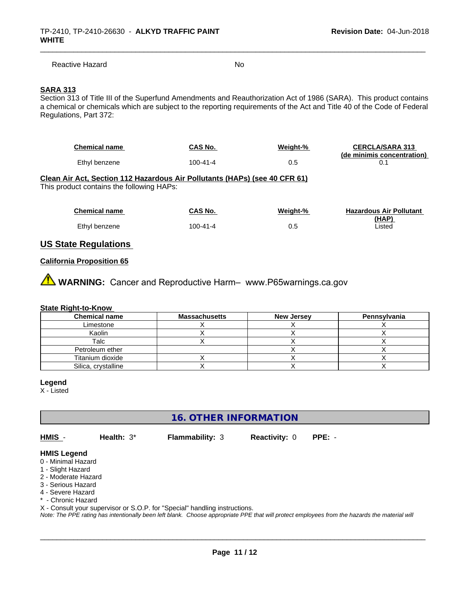Reactive Hazard No. No. 2014

## **SARA 313**

Section 313 of Title III of the Superfund Amendments and Reauthorization Act of 1986 (SARA). This product contains a chemical or chemicals which are subject to the reporting requirements of the Act and Title 40 of the Code of Federal Regulations, Part 372:

| Chemical name | CAS No.  | Weight-% | <b>CERCLA/SARA 313</b>     |
|---------------|----------|----------|----------------------------|
|               |          |          | (de minimis concentration) |
| Ethyl benzene | 100-41-4 | 0.5      |                            |

#### **Clean Air Act,Section 112 Hazardous Air Pollutants (HAPs) (see 40 CFR 61)**

This product contains the following HAPs:

| <b>Chemical name</b> | CAS No.  | Weight-% | <b>Hazardous Air Pollutant</b> |
|----------------------|----------|----------|--------------------------------|
|                      |          |          | (HAP)                          |
| Ethyl benzene        | 100-41-4 | 0.5      | Listed                         |

## **US State Regulations**

#### **California Proposition 65**

**AN** WARNING: Cancer and Reproductive Harm– www.P65warnings.ca.gov

#### **State Right-to-Know**

| <b>Chemical name</b> | <b>Massachusetts</b> | <b>New Jersey</b> | Pennsylvania |
|----------------------|----------------------|-------------------|--------------|
| Limestone            |                      |                   |              |
| Kaolin               |                      |                   |              |
| Talc                 |                      |                   |              |
| Petroleum ether      |                      |                   |              |
| Titanium dioxide     |                      |                   |              |
| Silica, crystalline  |                      |                   |              |

**Legend**

X - Listed

**16. OTHER INFORMATION**

**HMIS** - **Health:** 3\* **Flammability:** 3 **Reactivity:** 0 **PPE:** -

 $\overline{\phantom{a}}$  ,  $\overline{\phantom{a}}$  ,  $\overline{\phantom{a}}$  ,  $\overline{\phantom{a}}$  ,  $\overline{\phantom{a}}$  ,  $\overline{\phantom{a}}$  ,  $\overline{\phantom{a}}$  ,  $\overline{\phantom{a}}$  ,  $\overline{\phantom{a}}$  ,  $\overline{\phantom{a}}$  ,  $\overline{\phantom{a}}$  ,  $\overline{\phantom{a}}$  ,  $\overline{\phantom{a}}$  ,  $\overline{\phantom{a}}$  ,  $\overline{\phantom{a}}$  ,  $\overline{\phantom{a}}$ 

#### **HMIS Legend**

- 0 Minimal Hazard
- 1 Slight Hazard
- 2 Moderate Hazard
- 3 Serious Hazard
- 4 Severe Hazard
- \* Chronic Hazard
- X Consult your supervisor or S.O.P. for "Special" handling instructions.

*Note: The PPE rating has intentionally been left blank. Choose appropriate PPE that will protect employees from the hazards the material will*